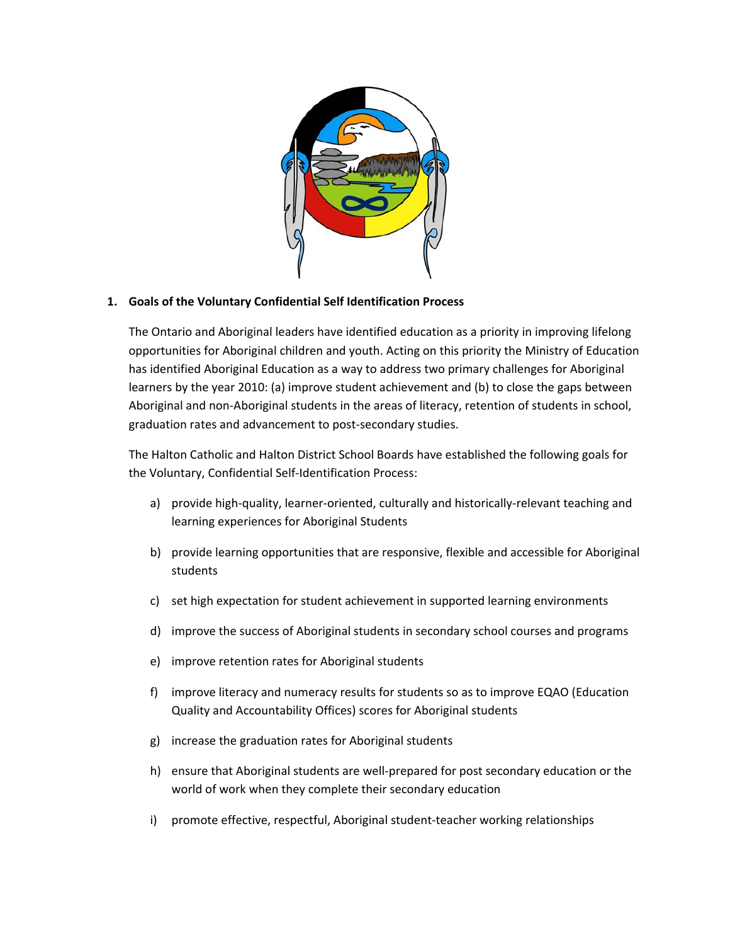

## **1. Goals of the Voluntary Confidential Self Identification Process**

The Ontario and Aboriginal leaders have identified education as a priority in improving lifelong opportunities for Aboriginal children and youth. Acting on this priority the Ministry of Education has identified Aboriginal Education as a way to address two primary challenges for Aboriginal learners by the year 2010: (a) improve student achievement and (b) to close the gaps between Aboriginal and non‐Aboriginal students in the areas of literacy, retention of students in school, graduation rates and advancement to post‐secondary studies.

The Halton Catholic and Halton District School Boards have established the following goals for the Voluntary, Confidential Self‐Identification Process:

- a) provide high-quality, learner-oriented, culturally and historically-relevant teaching and learning experiences for Aboriginal Students
- b) provide learning opportunities that are responsive, flexible and accessible for Aboriginal students
- c) set high expectation for student achievement in supported learning environments
- d) improve the success of Aboriginal students in secondary school courses and programs
- e) improve retention rates for Aboriginal students
- f) improve literacy and numeracy results for students so as to improve EQAO (Education Quality and Accountability Offices) scores for Aboriginal students
- g) increase the graduation rates for Aboriginal students
- h) ensure that Aboriginal students are well-prepared for post secondary education or the world of work when they complete their secondary education
- i) promote effective, respectful, Aboriginal student-teacher working relationships